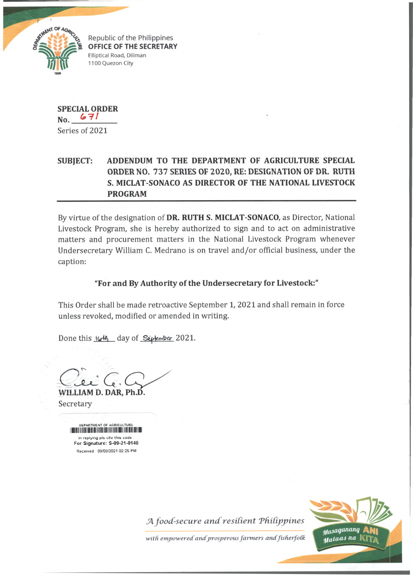

Republic of the Philippines **OFFICE OF THE SECRETARY** Elliptical Road, Diliman 1100 Quezon City

**SPECIAL ORDER No.** Series of 2021

## **SUBJECT: ADDENDUM TO THE DEPARTMENT OF AGRICULTURE SPECIAL ORDER NO. 737 SERIES OF 2020, RE: DESIGNATION OF DR. RUTH S. MICLAT-SONACO AS DIRECTOR OF THE NATIONAL LIVESTOCK PROGRAM**

By virtue of the designation of **DR. RUTH S. MICLAT-SONACO,** as Director, National Livestock Program, she is hereby authorized to sign and to act on administrative matters and procurement matters in the National Livestock Program whenever Undersecretary William C. Medrano is on travel and/or official business, under the caption:

## **"For and By Authority of the Undersecretary for Livestock:"**

This Order shall be made retroactive September 1, 2021 and shall remain in force unless revoked, modified or amended in writing.

Done this  $164$  day of Supermber 2021.

Clei C

**WILLIAM D. DAR, Ph.D.** Secretary

> DEPARTMENT OF AGRICULTURE in replying pls cite this code For Signature: S-09-21-0140 Received : 09/09/2021 02:25 PM

> > *A food-secure and resilient Philippines*



*with empowered andprosperous farm ers andfisherfoCk*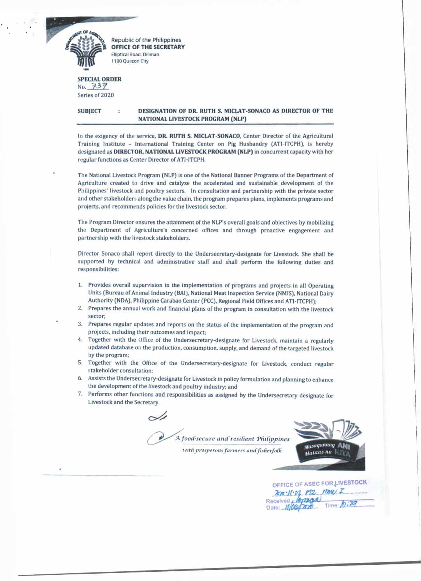

Republic of the Philippines **OFFICE OF THE SECRETARY Elliptical Road. Diliman 1100 Quezon City**

## SPECIAL ORDER  $No. 737$ Series of 2020

SUBJECT DESIGNATION OF DR. RUTH S. MICLAT-SONACO AS DIRECTOR OF THE NATIONAL LIVESTOCK PROGRAM (NLP)

In the exigency of the service, DR. RUTH S. MICLAT-SONACO, Center Director of the Agricultural Training Institute - International Training Center on Pig Husbandry (ATI-ITCPH), is hereby designated as DIRECTOR, NATIONAL LIVESTOCK PROGRAM (NLP) in concurrent capacity with her regular functions as Center Director of ATI-ITCPH.

The National Livestock Program (NLP) is one of the National Banner Programs of the Department of Agriculture created to drive and catalyze the accelerated and sustainable development of the Philippines' livestock and poultry sectors. In consultation and partnership with the private sector and other stakeholders along the value chain, the program prepares plans, implements programs and projects, and recommends policies for the livestock sector.

The Program Director ensures the attainment of the NLP's overall goals and objectives by mobilizing the Department of Agriculture's concerned offices and through proactive engagement and partnership with the livestock stakeholders.

Director Sonaco shall report directly to the Undersecretary-designate for Livestock. She shall be supported by technical and administrative staff and shall perform the following duties and responsibilities:

- 1. Provides overall supervision in the implementation of programs and projects in all Operating Units (Bureau of Animal Industry (BAI), National Meat Inspection Service (NMIS), National Dairy Authority (NDA), Philippine Carabao Center (PCC), Regional Field Offices and ATI-ITCPH);
- 2. Prepares the annual work and financial plans of the program in consultation with the livestock sector;
- 3. Prepares regular updates and reports on the status of the implementation of the program and projects, including their outcomes and impact;
- 4. Together with the Office of the Undersecretary-designate for Livestock, maintain a regularly updated database on the production, consumption, supply, and demand of the targeted livestock by the program;
- 5. Together with the Office of the Undersecretary-designate for Livestock, conduct regular stakeholder consultation;
- 6. Assists the Undersecretary-designate for Livestock in policy formulation and planning to enhance the development of the livestock and poultry industry; and
- 7. Performs other functions and responsibilities as assigned by the Undersecretary designate for Livestock and the Secretary.

*A. food-secure and'resilient Tfiitippincs*

 $with$  prosperous farmers and fisherfolk



| OFFICE OF ASEC FOR LIVESTOCK |            |
|------------------------------|------------|
| $200 - 11.07$ $192$ $1000$ I |            |
| Received Montage             |            |
|                              | Time: 0:29 |